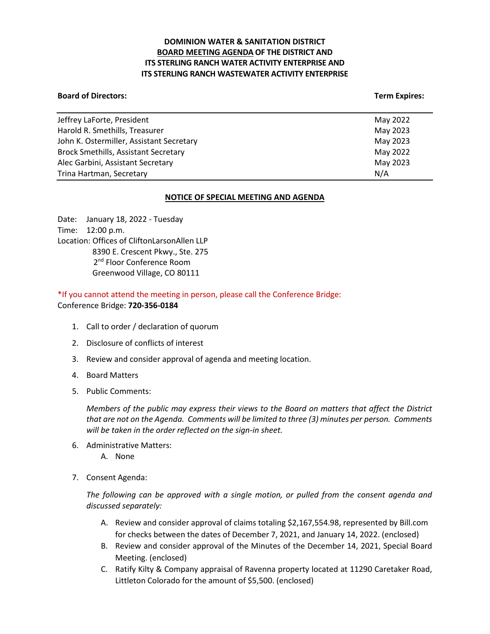# **DOMINION WATER & SANITATION DISTRICT BOARD MEETING AGENDA OF THE DISTRICT AND ITS STERLING RANCH WATER ACTIVITY ENTERPRISE AND ITS STERLING RANCH WASTEWATER ACTIVITY ENTERPRISE**

#### **Board of Directors:** Term Expires: Term Expires: Term Expires: Term Expires: Term Expires: Term Expires: Term Expires: Term Expires: Term Expires: Term Expires: Term Expires: Term Expires: Term Expires: Term Expires: Term

| May 2022 |
|----------|
| May 2023 |
| May 2023 |
| May 2022 |
| May 2023 |
| N/A      |
|          |

### **NOTICE OF SPECIAL MEETING AND AGENDA**

Date: January 18, 2022 - Tuesday Time: 12:00 p.m. Location: Offices of CliftonLarsonAllen LLP 8390 E. Crescent Pkwy., Ste. 275 2<sup>nd</sup> Floor Conference Room Greenwood Village, CO 80111

\*If you cannot attend the meeting in person, please call the Conference Bridge: Conference Bridge: **720-356-0184**

- 1. Call to order / declaration of quorum
- 2. Disclosure of conflicts of interest
- 3. Review and consider approval of agenda and meeting location.
- 4. Board Matters
- 5. Public Comments:

*Members of the public may express their views to the Board on matters that affect the District that are not on the Agenda. Comments will be limited to three (3) minutes per person. Comments will be taken in the order reflected on the sign-in sheet.* 

- 6. Administrative Matters:
	- A. None
- 7. Consent Agenda:

*The following can be approved with a single motion, or pulled from the consent agenda and discussed separately:*

- A. Review and consider approval of claims totaling \$2,167,554.98, represented by Bill.com for checks between the dates of December 7, 2021, and January 14, 2022. (enclosed)
- B. Review and consider approval of the Minutes of the December 14, 2021, Special Board Meeting. (enclosed)
- C. Ratify Kilty & Company appraisal of Ravenna property located at 11290 Caretaker Road, Littleton Colorado for the amount of \$5,500. (enclosed)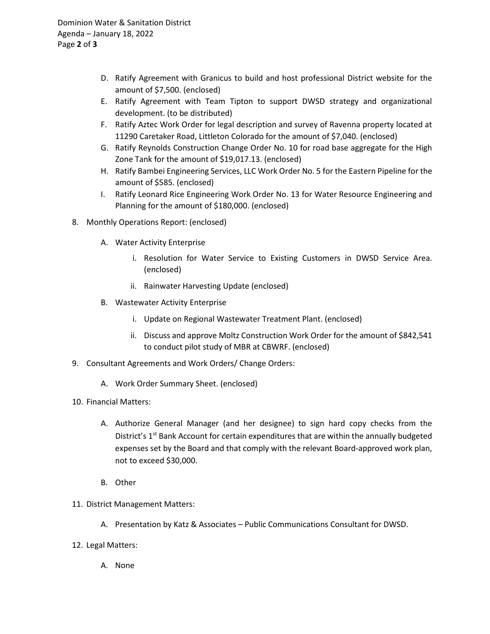- D. Ratify Agreement with Granicus to build and host professional District website for the amount of \$7,500. (enclosed)
- E. Ratify Agreement with Team Tipton to support DWSD strategy and organizational development. (to be distributed)
- F. Ratify Aztec Work Order for legal description and survey of Ravenna property located at 11290 Caretaker Road, Littleton Colorado for the amount of \$7,040. (enclosed)
- G. Ratify Reynolds Construction Change Order No. 10 for road base aggregate for the High Zone Tank for the amount of \$19,017.13. (enclosed)
- H. Ratify Bambei Engineering Services, LLC Work Order No. 5 for the Eastern Pipeline for the amount of \$585. (enclosed)
- I. Ratify Leonard Rice Engineering Work Order No. 13 for Water Resource Engineering and Planning for the amount of \$180,000. (enclosed)
- 8. Monthly Operations Report: (enclosed)
	- A. Water Activity Enterprise
		- i. Resolution for Water Service to Existing Customers in DWSD Service Area. (enclosed)
		- ii. Rainwater Harvesting Update (enclosed)
	- B. Wastewater Activity Enterprise
		- i. Update on Regional Wastewater Treatment Plant. (enclosed)
		- ii. Discuss and approve Moltz Construction Work Order for the amount of \$842,541 to conduct pilot study of MBR at CBWRF. (enclosed)
- 9. Consultant Agreements and Work Orders/ Change Orders:
	- A. Work Order Summary Sheet. (enclosed)
- 10. Financial Matters:
	- A. Authorize General Manager (and her designee) to sign hard copy checks from the District's 1<sup>st</sup> Bank Account for certain expenditures that are within the annually budgeted expenses set by the Board and that comply with the relevant Board-approved work plan, not to exceed \$30,000.
	- B. Other
- 11. District Management Matters:
	- A. Presentation by Katz & Associates Public Communications Consultant for DWSD.
- 12. Legal Matters:
	- A. None